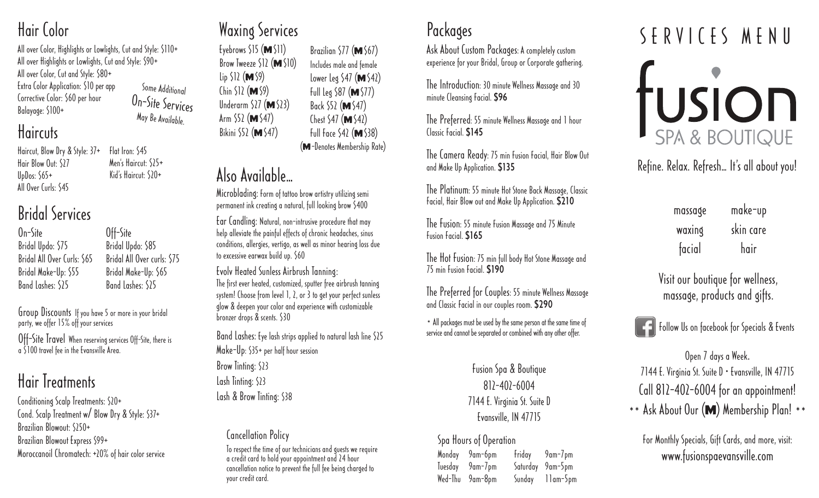### Hair Color

All over Color, Highlights or Lowlights, Cut and Style: \$110+ All over Highlights or Lowlights, Cut and Style: \$90+ All over Color, Cut and Style: \$80+ Extra Color Application: \$10 per app Corrective Color: \$60 per hour Balayage: \$100+ Some Additional On-Site Services May Be Available

### **Haircuts**

Haircut, Blow Dry & Style: 37+ Hair Blow Out: \$27 UpDos: \$65+ All Over Curls: \$45 Flat Iron: \$45 Men's Haircut: 575+ Kid's Haircut: \$20+

### Bridal Services

On-Site Bridal Updo: \$75 Bridal All Over Curls: \$65 Bridal Make-Up: \$55 Band Lashes: \$25

Off-Site Bridal Updo: \$85 Bridal All Over curls: \$75 Bridal Make-Up: \$65 Band Lashes: \$25

Group Discounts If you have 5 or more in your bridal party, we offer 15% off your services

Off-Site Travel When reserving services Off-Site, there is a \$100 travel fee in the Evansville Area.

# Hair Treatments

Conditioning Scalp Treatments: \$20+ Cond. Scalp Treatment w/ Blow Dry & Style: \$37+ Brazilian Blowout: \$250+ Brazilian Blowout Express \$99+ Moroccanoil Chromatech: +20% of hair color service

### Waxing Services

Eyebrows  $515$  (**M**  $511$ ) Brow Tweeze  $$12$  (**M** $$10)$  $\ln 512$  (**M** 59)  $\binom{1}{k}$  (**M**  $\binom{9}{k}$ Underarm  $527$  (M $523$ ) Arm  $52$  (**M** $547$ ) Bikini  $$52$  (**M** $$47)$ Brazilian  $577$  ( $M$   $567$ ) Includes male and female Lower Leg  $547$  (M $542$ ) Full Leg  $$87$  (**M** $$77)$ Back \$52 (M \$47) Chest  $547$  (**M**  $542$ ) Full Face  $542$  (**M**  $538$ ) (M-Denotes Membership Rate)

## Also Available…

Microblading: Form of tattoo brow artistry utilizing semi permanent ink creating a natural, full looking brow \$400

Ear Candling: Natural, non-intrusive procedure that may help alleviate the painful effects of chronic headaches, sinus conditions, allergies, vertigo, as well as minor hearing loss due to excessive earwax build up. \$60

Evolv Heated Sunless Airbrush Tanning: The first ever heated, customized, sputter free airbrush tanning system! Choose from level 1, 2, or 3 to get your perfect sunless glow & deepen your color and experience with customizable bronzer drops & scents. \$30

Band Lashes: Eye lash strips applied to natural lash line \$25 Make-Up: \$35+ per half hour session Brow Tinting: \$23 Lash Tinting: \$23 Lash & Brow Tinting: \$38

Cancellation Policy To respect the time of our technicians and guests we require a credit card to hold your appointment and 24 hour cancellation notice to prevent the full fee being charged to your credit card.

### Packages

Ask About Custom Packages: A completely custom experience for your Bridal, Group or Corporate gathering.

The Introduction: 30 minute Wellness Massage and 30 minute Cleansing Facial. \$96

The Preferred: 55 minute Wellness Massage and 1 hour Classic Facial. \$145

The Camera Ready: 75 min Fusion Facial, Hair Blow Out and Make Up Application. \$135

The Platinum: 55 minute Hot Stone Back Massage, Classic Facial, Hair Blow out and Make Up Application. \$210

The Fusion: 55 minute Fusion Massage and 75 Minute Fusion Facial. \$165

The Hot Fusion: 75 min full body Hot Stone Massage and 75 min Fusion Facial. \$190

The Preferred for Couples: 55 minute Wellness Massage and Classic Facial in our couples room. \$290

\* All packages must be used by the same person at the same time of service and cannot be separated or combined with any other offer.

> Fusion Spa & Boutique  $81$  $-40$  $-6004$ 7144 E. Virginia St. Suite D Evansville, IN 47715

#### Spa Hours of Operation

Monday 9am-6pm Friday 9am-7pm Tuesday 9am-7pm Saturday 9am-5pm Wed-Thu 9am-8pm Sunday 11am-5pm

# SERVICES MENU TUSION

Refine. Relax. Refresh… It's all about you!

| massage | make-up   |
|---------|-----------|
| waxing  | skin care |
| facial  | hair      |

Visit our boutique for wellness, massage, products and gifts.

**Follow Us on facebook for Specials & Events** 

Open 7 days a Week. 7144 E. Virginia St. Suite D • Evansville, IN 47715 Call 812-402-6004 for an appointment! \*\* Ask About Our (M) Membership Plan! \*\*

For Monthly Specials, Gift Cards, and more, visit: www.fusionspaevansville.com